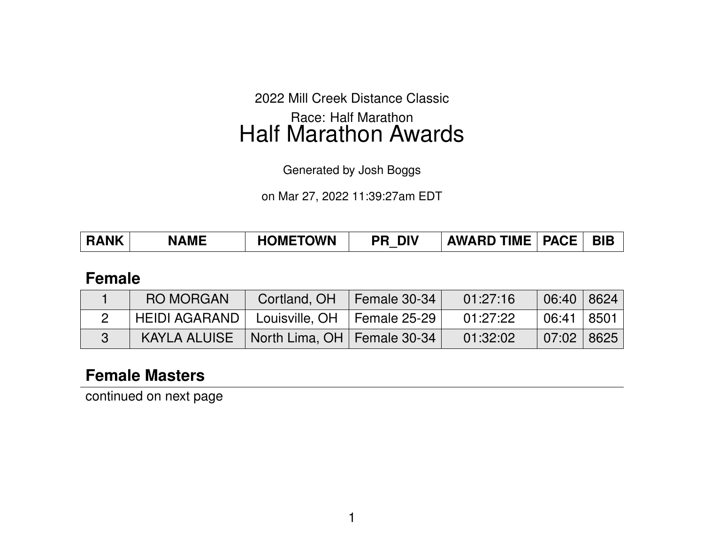2022 Mill Creek Distance Classic

Race: Half Marathon Half Marathon Awards

Generated by Josh Boggs

on Mar 27, 2022 11:39:27am EDT

| <b>HOMETOWN</b><br><b>RANK</b><br><b>AWARD TIME   PACE  </b><br><b>DIV</b><br><b>NAME</b><br>PR |
|-------------------------------------------------------------------------------------------------|
|-------------------------------------------------------------------------------------------------|

### **Female**

| <b>RO MORGAN</b>                              | Cortland, OH                  | $\vert$ Female 30-34 | 01:27:16 | 06:40   8624      |      |
|-----------------------------------------------|-------------------------------|----------------------|----------|-------------------|------|
| HEIDI AGARAND   Louisville, OH   Female 25-29 |                               |                      | 01:27:22 | 06:41             | 8501 |
| KAYLA ALUISE                                  | North Lima, OH   Female 30-34 |                      | 01:32:02 | $07:02 \mid 8625$ |      |

## **Female Masters**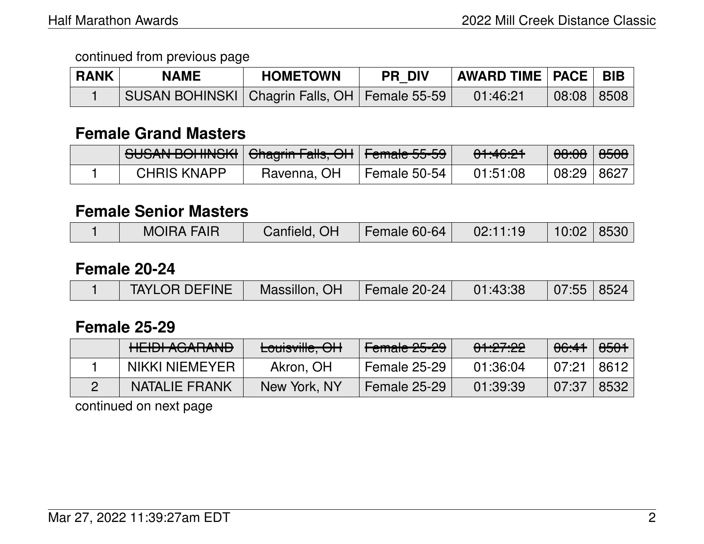| <b>RANK</b> | <b>NAME</b>                                       | <b>HOMETOWN</b> | <b>PR DIV</b> | <b>AWARD TIME   PACE   BIB  </b> |            |  |
|-------------|---------------------------------------------------|-----------------|---------------|----------------------------------|------------|--|
|             | SUSAN BOHINSKI   Chagrin Falls, OH   Female 55-59 |                 |               | 01:46:21                         | 08:08 8508 |  |

### **Female Grand Masters**

| <b>SUSAN BOHINSKI Ghagrin Falls, OH Female 55-59</b> |             |              | <del>01:46:21</del> |              |  |
|------------------------------------------------------|-------------|--------------|---------------------|--------------|--|
| <b>CHRIS KNAPP</b>                                   | Ravenna, OH | Female 50-54 | 01:51:08            | 08:29   8627 |  |

#### **Female Senior Masters**

| <b>MOIRA FAIR</b><br>Canfield, OH<br>$10:02$ 8530<br>Female $60-64$<br>02:11:19 |  |
|---------------------------------------------------------------------------------|--|
|---------------------------------------------------------------------------------|--|

#### **Female 20-24**

## **Female 25-29**

| <b>HEIDI AGARAND</b> | Louisville, OH | Female 25-29        | <del>01:27:22</del> | <del>06:41</del> | <del>8501</del> |
|----------------------|----------------|---------------------|---------------------|------------------|-----------------|
| NIKKI NIEMEYER       | Akron, OH      | Female 25-29        | 01:36:04            | 07:21            | 8612            |
| <b>NATALIE FRANK</b> | New York, NY   | <b>Female 25-29</b> | 01:39:39            | 07:37            | 8532            |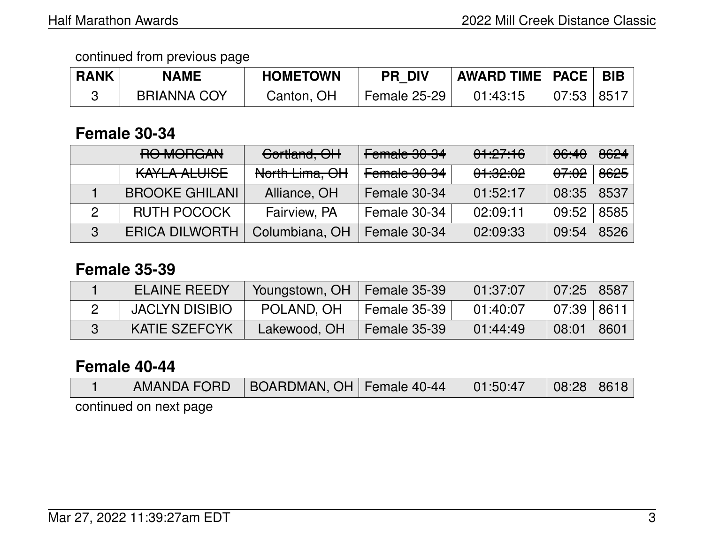| <b>RANK</b> | <b>NAME</b>        | <b>HOMETOWN</b> | <b>PR DIV</b> | <b>AWARD TIME   PACE  </b> |       | <b>BIB</b> |
|-------------|--------------------|-----------------|---------------|----------------------------|-------|------------|
|             | <b>BRIANNA COY</b> | Canton, OH      | Female 25-29  | 01:43:15                   | 07:53 | 8517       |

## **Female 30-34**

| RO MORGAN             | Cortland, OH   | Female 30-34 | 01:27:16            | <del>06:40</del> | 8624 |
|-----------------------|----------------|--------------|---------------------|------------------|------|
| KAYLA ALUISE          | North Lima, OH | Female 30-34 | <del>01:32:02</del> | <del>07:02</del> | 8625 |
| <b>BROOKE GHILANI</b> | Alliance, OH   | Female 30-34 | 01:52:17            | 08:35            | 8537 |
| <b>RUTH POCOCK</b>    | Fairview, PA   | Female 30-34 | 02:09:11            | 09:52            | 8585 |
| <b>ERICA DILWORTH</b> | Columbiana, OH | Female 30-34 | 02:09:33            | 09:54            | 8526 |

### **Female 35-39**

| <b>ELAINE REEDY</b>  | Youngstown, OH   Female 35-39 |              | 01:37:07 | 07:25 8587     |      |
|----------------------|-------------------------------|--------------|----------|----------------|------|
| JACLYN DISIBIO       | POLAND, OH                    | Female 35-39 | 01:40:07 | l 07:39 l 8611 |      |
| <b>KATIE SZEFCYK</b> | Lakewood, OH                  | Female 35-39 | 01:44:49 | 08:01          | 8601 |

#### **Female 40-44**

|                        |  | AMANDA FORD   BOARDMAN, OH   Female 40-44 |  | 01:50:47 | $\vert$ 08:28   8618 |  |
|------------------------|--|-------------------------------------------|--|----------|----------------------|--|
| continued on next page |  |                                           |  |          |                      |  |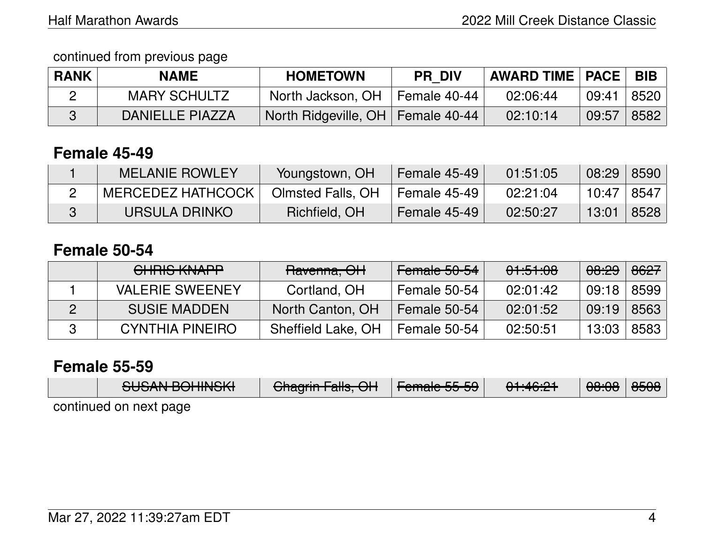continued from previous page

| <b>RANK</b> | <b>NAME</b>            | <b>HOMETOWN</b>                     | <b>PR DIV</b> | <b>AWARD TIME   PACE  </b> |       | <b>BIB</b> |
|-------------|------------------------|-------------------------------------|---------------|----------------------------|-------|------------|
|             | <b>MARY SCHULTZ</b>    | North Jackson, OH                   | Female 40-44  | 02:06:44                   | 09:41 | 8520       |
|             | <b>DANIELLE PIAZZA</b> | North Ridgeville, OH   Female 40-44 |               | 02:10:14                   | 09:57 | 8582       |

## **Female 45-49**

| <b>MELANIE ROWLEY</b>    | Youngstown, OH    | Female 45-49   | 01:51:05 | 08:29 | 8590 |
|--------------------------|-------------------|----------------|----------|-------|------|
| <b>MERCEDEZ HATHCOCK</b> | Olmsted Falls, OH | ⊺ Female 45-49 | 02:21:04 | 10:47 | 8547 |
| URSULA DRINKO.           | Richfield, OH     | Female 45-49   | 02:50:27 | 13:01 | 8528 |

### **Female 50-54**

| CHRIS KNAPP            | Ravenna, OH        | Female 50-54 | 01:51:08 | <del>08:29</del> | 8627 |
|------------------------|--------------------|--------------|----------|------------------|------|
| <b>VALERIE SWEENEY</b> | Cortland, OH       | Female 50-54 | 02:01:42 | 09:18            | 8599 |
| <b>SUSIE MADDEN</b>    | North Canton, OH   | Female 50-54 | 02:01:52 | 09:19            | 8563 |
| <b>CYNTHIA PINEIRO</b> | Sheffield Lake, OH | Female 50-54 | 02:50:51 | 13:03            | 8583 |

#### **Female 55-59**

| CLICANI DOLIINICIZI    | $Q$ beauin $\Gamma$ elle $Q$                    | $L$ amala $LE$ E $\Omega$ | 0.4.10.04            | $\Omega$ | عمعه |
|------------------------|-------------------------------------------------|---------------------------|----------------------|----------|------|
| <u>JUJAN DUTIINJIN</u> | $\overline{U}$ Tidymini alis, $\overline{U}$ Ti | <del>Fornald Jurud</del>  | 01. <del>40.21</del> | 00.00    | 0000 |
| continued on next page |                                                 |                           |                      |          |      |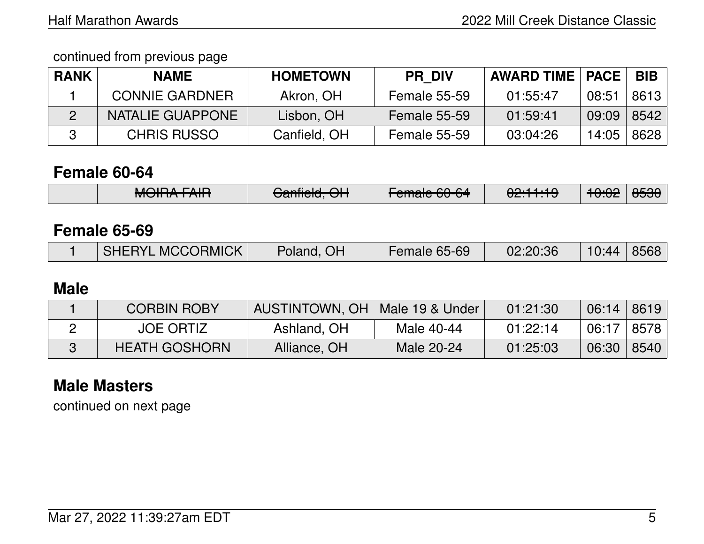| <b>RANK</b> | <b>NAME</b>           | <b>HOMETOWN</b> | <b>PR DIV</b>       | <b>AWARD TIME   PACE</b> |       | <b>BIB</b> |
|-------------|-----------------------|-----------------|---------------------|--------------------------|-------|------------|
|             | <b>CONNIE GARDNER</b> | Akron, OH       | <b>Female 55-59</b> | 01:55:47                 | 08:51 | 8613       |
|             | NATALIE GUAPPONE      | Lisbon, OH      | <b>Female 55-59</b> | 01:59:41                 | 09:09 | 8542       |
|             | <b>CHRIS RUSSO</b>    | Canfield, OH    | <b>Female 55-59</b> | 03:04:26                 | 14:05 | 8628       |

## **Female 60-64**

| $M$ $\cap$ $\cap$ $\wedge$ $\cap$ $\wedge$ $\wedge$ $\wedge$ | $\sim$                 | $S^{n}$                | 00.11.10 | ممبمد                           | OEOO I |
|--------------------------------------------------------------|------------------------|------------------------|----------|---------------------------------|--------|
| <del>MUNIA LAIN</del>                                        | <del>Uanneru, Un</del> | <del>cmaic ou or</del> | 02.TT.TJ | $T\sigma_{\rm r}\sigma_{\rm r}$ | ਹਹਹਹ   |

## **Female 65-69**

|  | SHERYL MCCORMICK | Poland, OH | Female 65-69 | 02:20:36 | $10:44$   8568 |  |
|--|------------------|------------|--------------|----------|----------------|--|
|--|------------------|------------|--------------|----------|----------------|--|

### **Male**

| <b>CORBIN ROBY</b>   | AUSTINTOWN, OH   Male 19 & Under |            | 01:21:30 | $06:14$   8619 |      |
|----------------------|----------------------------------|------------|----------|----------------|------|
| <b>JOE ORTIZ</b>     | Ashland, OH                      | Male 40-44 | 01:22:14 | 06:17   8578   |      |
| <b>HEATH GOSHORN</b> | Alliance, OH                     | Male 20-24 | 01:25:03 | 06:30          | 8540 |

# **Male Masters**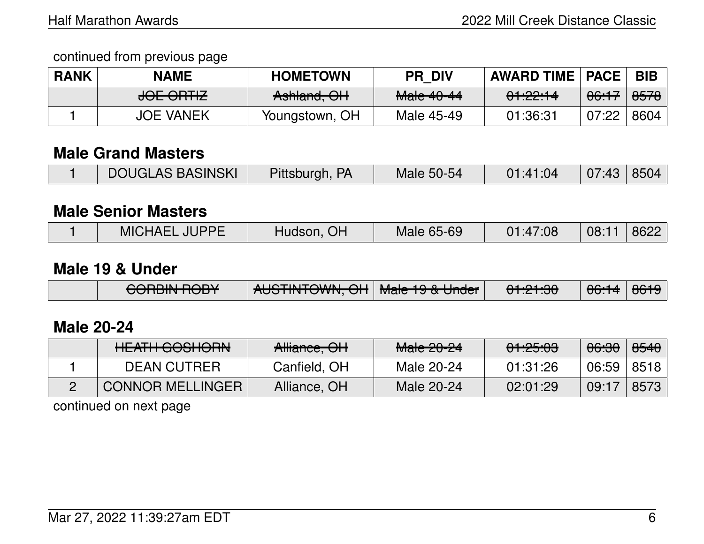| <b>RANK</b> | <b>NAME</b>          | <b>HOMETOWN</b> | <b>PR DIV</b> | <b>AWARD TIME   PACE</b> |                  | <b>BIB</b>             |
|-------------|----------------------|-----------------|---------------|--------------------------|------------------|------------------------|
|             | <del>JOE ORTIZ</del> | Ashland, OH     | Male 40-44    | 01:22:14                 | <del>06:17</del> | $\frac{0.0576}{0.005}$ |
|             | <b>JOE VANEK</b>     | Youngstown, OH  | Male 45-49    | 01:36:31                 | 07:22            | 8604                   |

### **Male Grand Masters**

|  | └ DOUGLAS BASINSKI | Pittsburgh, PA | <b>Male 50-54</b> | 01:41:04 | 07:43 8504 |  |
|--|--------------------|----------------|-------------------|----------|------------|--|
|--|--------------------|----------------|-------------------|----------|------------|--|

#### **Male Senior Masters**

|  | <b>MICHAEL</b><br><b>JUPPF</b> | OF<br>Hudson, | Male 65-69 | 01:47:08 | 08:7 | 8622 |
|--|--------------------------------|---------------|------------|----------|------|------|
|--|--------------------------------|---------------|------------|----------|------|------|

#### **Male 19 & Under**

|  | CODDINI DODV<br><del>UUNIN IUUT</del> | ALICTINITOMIAL OLL Mole 10.8 Lindox |  | 0.1.01.00<br><del>ण .य .ज</del> | $\bigcap_{i=1}^{n} A$<br>$\overline{\mathtt{UU}.\mathtt{T}}$ | 0010<br>$\overline{\mathtt{corr}}$ |
|--|---------------------------------------|-------------------------------------|--|---------------------------------|--------------------------------------------------------------|------------------------------------|
|--|---------------------------------------|-------------------------------------|--|---------------------------------|--------------------------------------------------------------|------------------------------------|

## **Male 20-24**

| <u>LIE ATHLOOOHODAL</u><br><b>TILAITI UUJITUTTIV</b> | Alliance, OH | $M2$ $\Omega$ $\Omega$ $\Omega$<br><u>Maic Zu-Zi</u> | 0.105.00<br><u>UT.CJ.UJ</u> | <del>06:30</del> | <del>8540</del> |
|------------------------------------------------------|--------------|------------------------------------------------------|-----------------------------|------------------|-----------------|
| <b>DEAN CUTRER</b>                                   | Canfield, OH | Male 20-24                                           | 01:31:26                    | 06:59            | 8518            |
| <b>CONNOR MELLINGER</b>                              | Alliance, OH | Male 20-24                                           | 02:01:29                    | 09:17            | 8573            |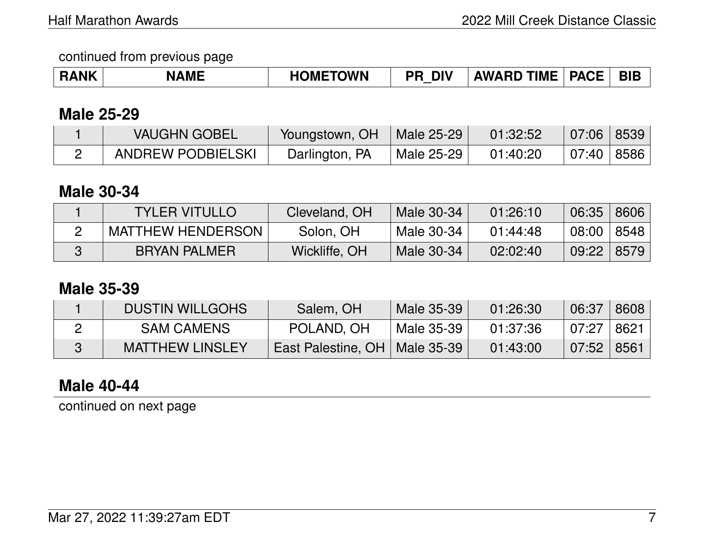| <b>RANK</b> | <b>NAME</b> | <b>HOMETOWN</b> | <b>DIV</b><br>'n | <b>AWARD TIME</b> | $\overline{\phantom{a}}$ PACE | <b>BIE</b> |
|-------------|-------------|-----------------|------------------|-------------------|-------------------------------|------------|
|-------------|-------------|-----------------|------------------|-------------------|-------------------------------|------------|

### **Male 25-29**

| <b>VAUGHN GOBEL</b>      | Youngstown, OH | Male 25-29 | 01:32:52 | 07:06   8539 |  |
|--------------------------|----------------|------------|----------|--------------|--|
| <b>ANDREW PODBIELSKI</b> | Darlington, PA | Male 25-29 | 01:40:20 | 07:40   8586 |  |

## **Male 30-34**

| <b>TYLER VITULLO</b>     | Cleveland, OH | Male 30-34 | 01:26:10 | 06:35        | 8606 |
|--------------------------|---------------|------------|----------|--------------|------|
| <b>MATTHEW HENDERSON</b> | Solon, OH     | Male 30-34 | 01:44:48 | 08:00   8548 |      |
| <b>BRYAN PALMER</b>      | Wickliffe, OH | Male 30-34 | 02:02:40 | 09:22        | 8579 |

### **Male 35-39**

| <b>DUSTIN WILLGOHS</b> | Salem, OH                       | Male 35-39 | 01:26:30 | 06:37          | 8608 |
|------------------------|---------------------------------|------------|----------|----------------|------|
| <b>SAM CAMENS</b>      | POLAND, OH                      | Male 35-39 | 01:37:36 | 07:27   8621   |      |
| <b>MATTHEW LINSLEY</b> | East Palestine, OH   Male 35-39 |            | 01:43:00 | $07:52$   8561 |      |

## **Male 40-44**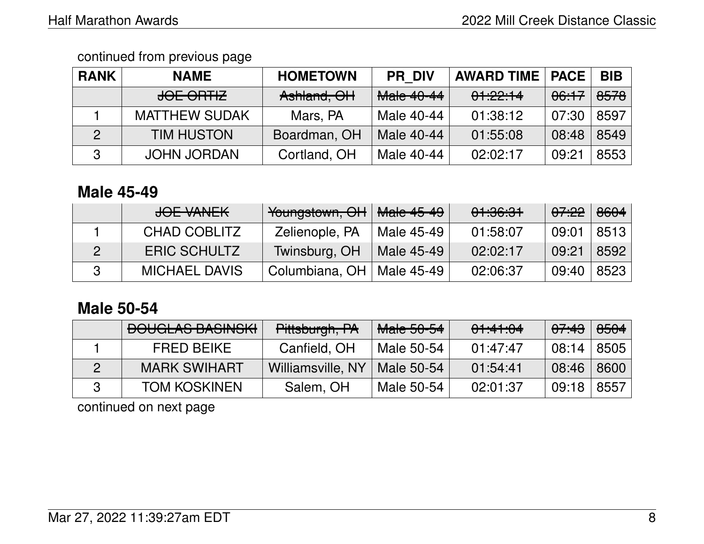| <b>RANK</b> | <b>NAME</b>          | <b>HOMETOWN</b> | <b>PR DIV</b> | <b>AWARD TIME   PACE</b> |                  | <b>BIB</b>      |
|-------------|----------------------|-----------------|---------------|--------------------------|------------------|-----------------|
|             | <del>JOE ORTIZ</del> | Ashland, OH     | Male 40-44    | 01:22:14                 | <del>06:17</del> | <del>8578</del> |
|             | <b>MATTHEW SUDAK</b> | Mars, PA        | Male 40-44    | 01:38:12                 | 07:30            | 8597            |
|             | <b>TIM HUSTON</b>    | Boardman, OH    | Male 40-44    | 01:55:08                 | 08:48            | 8549            |
| 3           | <b>JOHN JORDAN</b>   | Cortland, OH    | Male 40-44    | 02:02:17                 | 09:21            | 8553            |

## **Male 45-49**

| JOE VANEK            | Youngstown, OH              | <del>Male 45-49</del> | 01:36:31 | <del>07:22</del> | 8604 |
|----------------------|-----------------------------|-----------------------|----------|------------------|------|
| CHAD COBLITZ         | Zelienople, PA              | Male 45-49            | 01:58:07 | 09:01            | 8513 |
| <b>ERIC SCHULTZ</b>  | Twinsburg, OH               | Male 45-49            | 02:02:17 | 09:21            | 8592 |
| <b>MICHAEL DAVIS</b> | Columbiana, OH   Male 45-49 |                       | 02:06:37 | 09:40            | 8523 |

## **Male 50-54**

| <b>BOUGLAS BASINSKI</b> | Pittsburgh, PA    | Male 50-54 | 01:41:04 | <del>07:43</del> | 8504 |
|-------------------------|-------------------|------------|----------|------------------|------|
| <b>FRED BEIKE</b>       | Canfield, OH      | Male 50-54 | 01:47:47 | 08:14            | 8505 |
| <b>MARK SWIHART</b>     | Williamsville, NY | Male 50-54 | 01:54:41 | 08:46            | 8600 |
| <b>TOM KOSKINEN</b>     | Salem, OH         | Male 50-54 | 02:01:37 | 09:18            | 8557 |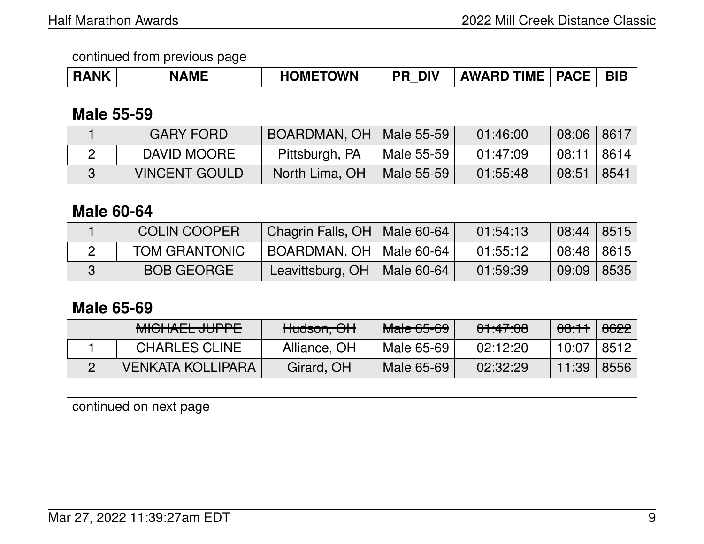| <b>RANK</b> | <b>NAME</b> | <b>HOMETOWN</b> | <b>DIV</b><br>PR | <b>AWARD TIME</b> | <b>PACE</b> | <b>BIB</b> |
|-------------|-------------|-----------------|------------------|-------------------|-------------|------------|
|-------------|-------------|-----------------|------------------|-------------------|-------------|------------|

## **Male 55-59**

| <b>GARY FORD</b>     | BOARDMAN, OH   Male 55-59 |                        | 01:46:00 | $08:06$ 8617     |  |
|----------------------|---------------------------|------------------------|----------|------------------|--|
| DAVID MOORE          | Pittsburgh, PA            | Male 55-59             | 01:47:09 | 08:11   8614     |  |
| <b>VINCENT GOULD</b> | North Lima, OH            | $\parallel$ Male 55-59 | 01:55:48 | $08:51$   $8541$ |  |

#### **Male 60-64**

| <b>COLIN COOPER</b>  | Chagrin Falls, OH   Male 60-64 |                        | 01:54:13 | 08:44   8515 |  |
|----------------------|--------------------------------|------------------------|----------|--------------|--|
| <b>TOM GRANTONIC</b> | BOARDMAN, OH   Male 60-64      |                        | 01:55:12 | 08:48   8615 |  |
| <b>BOB GEORGE</b>    | Leavittsburg, OH               | $\parallel$ Male 60-64 | 01:59:39 | 09:09 8535   |  |

## **Male 65-69**

| <u>MIQUALI</u><br><u> - ILIDDE</u><br><del>MIOHALL JUITE</del> | Hudson, OH   | <b>Male 65-69</b> | 01:47:08 | <del>08:11</del> | 6622 |
|----------------------------------------------------------------|--------------|-------------------|----------|------------------|------|
| <b>CHARLES CLINE</b>                                           | Alliance, OH | Male 65-69        | 02:12:20 | 10:07            | 8512 |
| <b>VENKATA KOLLIPARA</b>                                       | Girard, OH   | Male 65-69        | 02:32:29 | 11:39            | 8556 |